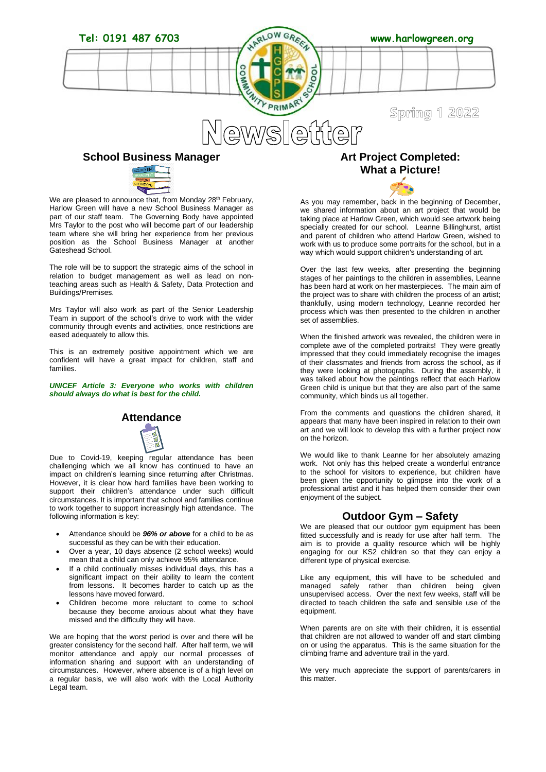

### **School Business Manager**



We are pleased to announce that, from Monday 28<sup>th</sup> February, Harlow Green will have a new School Business Manager as part of our staff team. The Governing Body have appointed Mrs Taylor to the post who will become part of our leadership team where she will bring her experience from her previous position as the School Business Manager at another Gateshead School.

The role will be to support the strategic aims of the school in relation to budget management as well as lead on nonteaching areas such as Health & Safety, Data Protection and Buildings/Premises.

Mrs Taylor will also work as part of the Senior Leadership Team in support of the school's drive to work with the wider community through events and activities, once restrictions are eased adequately to allow this.

This is an extremely positive appointment which we are confident will have a great impact for children, staff and families.

*UNICEF Article 3: Everyone who works with children should always do what is best for the child.*





Due to Covid-19, keeping regular attendance has been challenging which we all know has continued to have an impact on children's learning since returning after Christmas. However, it is clear how hard families have been working to support their children's attendance under such difficult circumstances. It is important that school and families continue to work together to support increasingly high attendance. The following information is key:

- Attendance should be *96% or above* for a child to be as successful as they can be with their education.
- Over a year, 10 days absence (2 school weeks) would mean that a child can only achieve 95% attendance.
- If a child continually misses individual days, this has a significant impact on their ability to learn the content from lessons. It becomes harder to catch up as the lessons have moved forward.
- Children become more reluctant to come to school because they become anxious about what they have missed and the difficulty they will have.

We are hoping that the worst period is over and there will be greater consistency for the second half. After half term, we will monitor attendance and apply our normal processes of information sharing and support with an understanding of circumstances. However, where absence is of a high level on a regular basis, we will also work with the Local Authority Legal team.

### **Art Project Completed: What a Picture!**

As you may remember, back in the beginning of December, we shared information about an art project that would be taking place at Harlow Green, which would see artwork being specially created for our school. Leanne Billinghurst, artist and parent of children who attend Harlow Green, wished to work with us to produce some portraits for the school, but in a way which would support children's understanding of art.

Over the last few weeks, after presenting the beginning stages of her paintings to the children in assemblies, Leanne has been hard at work on her masterpieces. The main aim of the project was to share with children the process of an artist; thankfully, using modern technology, Leanne recorded her process which was then presented to the children in another set of assemblies.

When the finished artwork was revealed, the children were in complete awe of the completed portraits! They were greatly impressed that they could immediately recognise the images of their classmates and friends from across the school, as if they were looking at photographs. During the assembly, it was talked about how the paintings reflect that each Harlow Green child is unique but that they are also part of the same community, which binds us all together.

From the comments and questions the children shared, it appears that many have been inspired in relation to their own art and we will look to develop this with a further project now on the horizon.

We would like to thank Leanne for her absolutely amazing work. Not only has this helped create a wonderful entrance to the school for visitors to experience, but children have been given the opportunity to glimpse into the work of a professional artist and it has helped them consider their own enjoyment of the subject.

### **Outdoor Gym – Safety**

We are pleased that our outdoor gym equipment has been fitted successfully and is ready for use after half term. The aim is to provide a quality resource which will be highly engaging for our KS2 children so that they can enjoy a different type of physical exercise.

Like any equipment, this will have to be scheduled and managed safely rather than children being given unsupervised access. Over the next few weeks, staff will be directed to teach children the safe and sensible use of the equipment.

When parents are on site with their children, it is essential that children are not allowed to wander off and start climbing on or using the apparatus. This is the same situation for the climbing frame and adventure trail in the yard.

We very much appreciate the support of parents/carers in this matter.